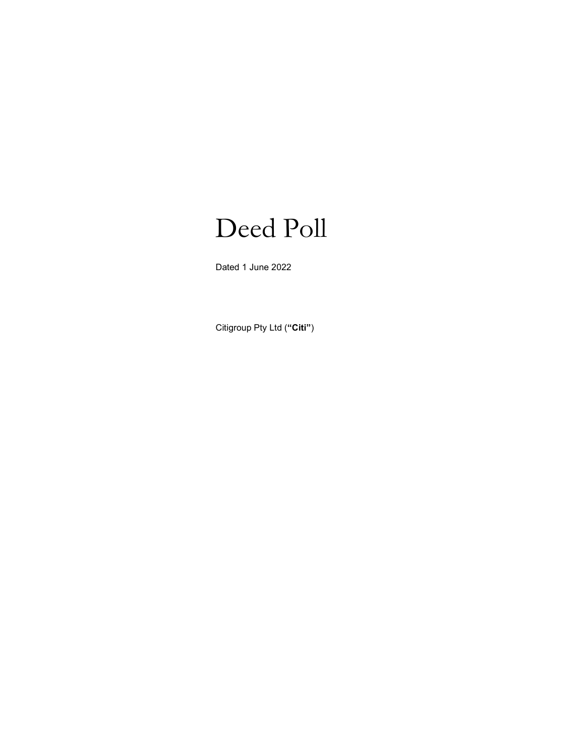# Deed Poll

Dated 1 June 2022

Citigroup Pty Ltd ("Citi")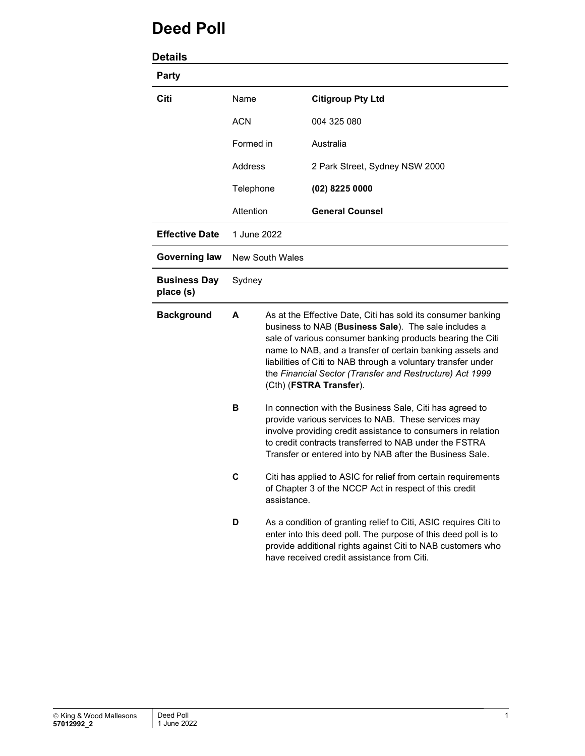# Deed Poll

| <b>Details</b>                   |                                                                      |                                                                                                                                                                                                                                                                                                                                                                                                         |                                |
|----------------------------------|----------------------------------------------------------------------|---------------------------------------------------------------------------------------------------------------------------------------------------------------------------------------------------------------------------------------------------------------------------------------------------------------------------------------------------------------------------------------------------------|--------------------------------|
| <b>Party</b>                     |                                                                      |                                                                                                                                                                                                                                                                                                                                                                                                         |                                |
| Citi                             | Name<br><b>ACN</b><br>Formed in<br>Address<br>Telephone<br>Attention |                                                                                                                                                                                                                                                                                                                                                                                                         | <b>Citigroup Pty Ltd</b>       |
|                                  |                                                                      |                                                                                                                                                                                                                                                                                                                                                                                                         | 004 325 080                    |
|                                  |                                                                      |                                                                                                                                                                                                                                                                                                                                                                                                         | Australia                      |
|                                  |                                                                      |                                                                                                                                                                                                                                                                                                                                                                                                         | 2 Park Street, Sydney NSW 2000 |
|                                  |                                                                      |                                                                                                                                                                                                                                                                                                                                                                                                         | $(02)$ 8225 0000               |
|                                  |                                                                      |                                                                                                                                                                                                                                                                                                                                                                                                         | <b>General Counsel</b>         |
| <b>Effective Date</b>            | 1 June 2022                                                          |                                                                                                                                                                                                                                                                                                                                                                                                         |                                |
| <b>Governing law</b>             | <b>New South Wales</b>                                               |                                                                                                                                                                                                                                                                                                                                                                                                         |                                |
| <b>Business Day</b><br>place (s) | Sydney                                                               |                                                                                                                                                                                                                                                                                                                                                                                                         |                                |
| <b>Background</b>                | A                                                                    | As at the Effective Date, Citi has sold its consumer banking<br>business to NAB (Business Sale). The sale includes a<br>sale of various consumer banking products bearing the Citi<br>name to NAB, and a transfer of certain banking assets and<br>liabilities of Citi to NAB through a voluntary transfer under<br>the Financial Sector (Transfer and Restructure) Act 1999<br>(Cth) (FSTRA Transfer). |                                |
|                                  | в                                                                    | In connection with the Business Sale, Citi has agreed to<br>provide various services to NAB. These services may<br>involve providing credit assistance to consumers in relation<br>to credit contracts transferred to NAB under the FSTRA<br>Transfer or entered into by NAB after the Business Sale.                                                                                                   |                                |
|                                  | C                                                                    | Citi has applied to ASIC for relief from certain requirements<br>of Chapter 3 of the NCCP Act in respect of this credit<br>assistance.                                                                                                                                                                                                                                                                  |                                |
|                                  | D                                                                    | As a condition of granting relief to Citi, ASIC requires Citi to<br>enter into this deed poll. The purpose of this deed poll is to<br>provide additional rights against Citi to NAB customers who<br>have received credit assistance from Citi.                                                                                                                                                         |                                |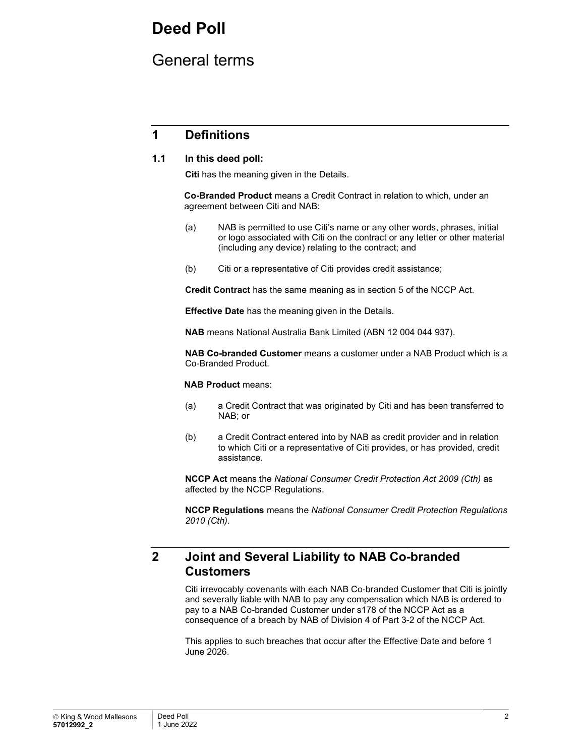# Deed Poll

# General terms

## 1 Definitions

### 1.1 In this deed poll:

Citi has the meaning given in the Details.

Co-Branded Product means a Credit Contract in relation to which, under an agreement between Citi and NAB:

- (a) NAB is permitted to use Citi's name or any other words, phrases, initial or logo associated with Citi on the contract or any letter or other material (including any device) relating to the contract; and
- (b) Citi or a representative of Citi provides credit assistance;

Credit Contract has the same meaning as in section 5 of the NCCP Act.

Effective Date has the meaning given in the Details.

NAB means National Australia Bank Limited (ABN 12 004 044 937).

NAB Co-branded Customer means a customer under a NAB Product which is a Co-Branded Product.

#### NAB Product means:

- (a) a Credit Contract that was originated by Citi and has been transferred to NAB; or
- (b) a Credit Contract entered into by NAB as credit provider and in relation to which Citi or a representative of Citi provides, or has provided, credit assistance.

NCCP Act means the National Consumer Credit Protection Act 2009 (Cth) as affected by the NCCP Regulations.

**NCCP Regulations** means the National Consumer Credit Protection Regulations 2010 (Cth).

# 2 Joint and Several Liability to NAB Co-branded **Customers**

Citi irrevocably covenants with each NAB Co-branded Customer that Citi is jointly and severally liable with NAB to pay any compensation which NAB is ordered to pay to a NAB Co-branded Customer under s178 of the NCCP Act as a consequence of a breach by NAB of Division 4 of Part 3-2 of the NCCP Act.

This applies to such breaches that occur after the Effective Date and before 1 June 2026.